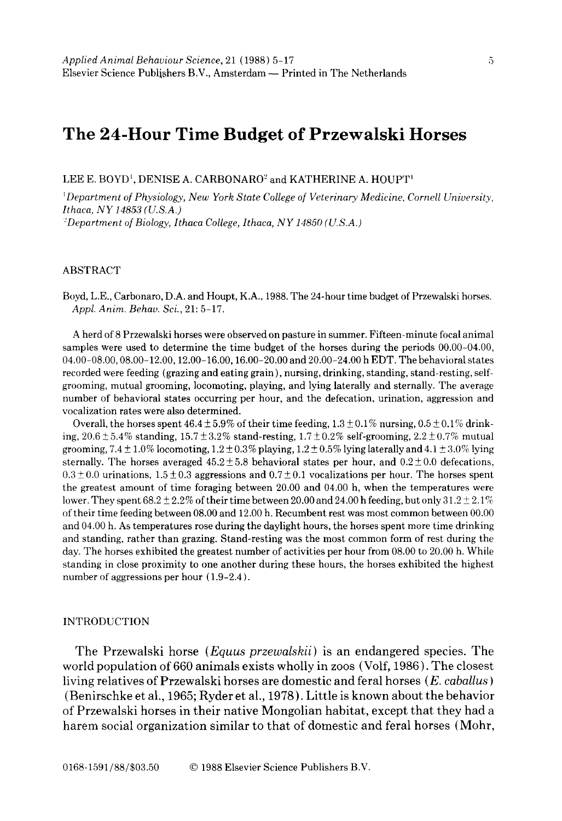# **The 24-Hour Time Budget of Przewalski Horses**

LEE E. BOYD<sup>1</sup>, DENISE A. CARBONARO<sup>2</sup> and KATHERINE A. HOUPT<sup>1</sup>

*~ Department of Physiology, New York State College of Veterinary Medicine, Cornell University, Ithaca, NY 14853 (U.S.A.) ~Department of Biology, Ithaca College, Ithaca, NY 14850 (U.S.A.)* 

## ABSTRACT

Boyd, L.E., Carbonaro, D.A. and Houpt, K.A., 1988. The 24-hour time budget of Przewalski horses. *Appl. Anim. Behav. Sci.,* 21: 5-17.

A herd of 8 Przewalski horses were observed on pasture in summer. Fifteen-minute focal animal samples were used to determine the time budget of the horses during the periods 00.00-04.00, 04.00-08.00, 08.00-12.00, 12.00-16.00, 16.00-20.00 and 20.00-24.00 h EDT. The behavioral states recorded were feeding (grazing and eating grain), nursing, drinking, standing, stand-resting, selfgrooming, mutual grooming, locomoting, playing, and lying laterally and sternally. The average number of behavioral states occurring per hour, and the defecation, urination, aggression and vocalization rates were also determined.

Overall, the horses spent  $46.4 \pm 5.9\%$  of their time feeding,  $1.3 \pm 0.1\%$  nursing,  $0.5 \pm 0.1\%$  drinking,  $20.6 \pm 5.4\%$  standing,  $15.7 \pm 3.2\%$  stand-resting,  $1.7 \pm 0.2\%$  self-grooming,  $2.2 \pm 0.7\%$  mutual grooming,  $7.4 \pm 1.0\%$  locomoting,  $1.2 \pm 0.3\%$  playing,  $1.2 \pm 0.5\%$  lying laterally and  $4.1 \pm 3.0\%$  lying sternally. The horses averaged  $45.2 \pm 5.8$  behavioral states per hour, and  $0.2 \pm 0.0$  defecations,  $0.3 \pm 0.0$  urinations,  $1.5 \pm 0.3$  aggressions and  $0.7 \pm 0.1$  vocalizations per hour. The horses spent the greatest amount of time foraging between 20.00 and 04.00 h, when the temperatures were lower. They spent  $68.2 \pm 2.2\%$  of their time between 20.00 and 24.00 h feeding, but only  $31.2 \pm 2.1\%$ of their time feeding between 08.00 and 12.00 h. Recumbent rest was most common between 00.00 and 04.00 h. As temperatures rose during the daylight hours, the horses spent more time drinking and standing, rather than grazing. Stand-resting was the most common form of rest during the day. The horses exhibited the greatest number of activities per hour from 08.00 to 20.00 h. While standing in close proximity to one another during these hours, the horses exhibited the highest number of aggressions per hour  $(1.9-2.4)$ .

#### INTRODUCTION

The Przewalski horse *(Equus przewalskii)* is an endangered species. The world population of 660 animals exists wholly in zoos (Volf, 1986). The closest living relatives of Przewalski horses are domestic and feral horses *(E. cabaUus )*  (Benirschke et al., 1965; Ryder et al., 1978 ). Little is known about the behavior of Przewalski horses in their native Mongolian habitat, except that they had a harem social organization similar to that of domestic and feral horses (Mohr,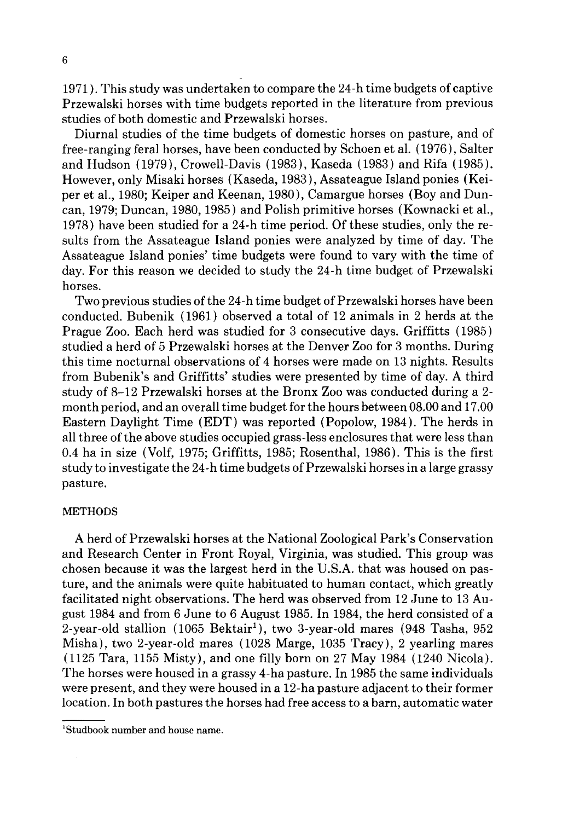1971 ). This study was undertaken to compare the 24-h time budgets of captive Przewalski horses with time budgets reported in the literature from previous studies of both domestic and Przewalski horses.

Diurnal studies of the time budgets of domestic horses on pasture, and of free-ranging feral horses, have been conducted by Schoen et al. (1976), Salter and Hudson (1979), Crowell-Davis (1983), Kaseda (1983) and Rifa (1985). However, only Misaki horses (Kaseda, 1983), Assateague Island ponies (Keiper et al., 1980; Keiper and Keenan, 1980), Camargue horses (Boy and Duncan, 1979; Duncan, 1980, 1985) and Polish primitive horses (Kownacki et al., 1978) have been studied for a 24-h time period. Of these studies, only the results from the Assateague Island ponies were analyzed by time of day. The Assateague Island ponies' time budgets were found to vary with the time of day. For this reason we decided to study the 24-h time budget of Przewalski horses.

Two previous studies of the 24-h time budget of Przewalski horses have been conducted. Bubenik (1961) observed a total of 12 animals in 2 herds at the Prague Zoo. Each herd was studied for 3 consecutive days. Griffitts (1985) studied a herd of 5 Przewalski horses at the Denver Zoo for 3 months. During this time nocturnal observations of 4 horses were made on 13 nights. Results from Bubenik's and Griffitts' studies were presented by time of day. A third study of 8-12 Przewalski horses at the Bronx Zoo was conducted during a 2 month period, and an overall time budget for the hours between 08.00 and 17.00 Eastern Daylight Time (EDT) was reported (Popolow, 1984). The herds in all three of the above studies occupied grass-less enclosures that were less than 0.4 ha in size (Volf, 1975; Griffitts, 1985; Rosenthal, 1986). This is the first study to investigate the 24-h time budgets of Przewalski horses in a large grassy pasture.

## **METHODS**

A herd of Przewalski horses at the National Zoological Park's Conservation and Research Center in Front Royal, Virginia, was studied. This group was chosen because it was the largest herd in the U.S.A. that was housed on pasture, and the animals were quite habituated to human contact, which greatly facilitated night observations. The herd was observed from 12 June to 13 August 1984 and from 6 June to 6 August 1985. In 1984, the herd consisted of a 2-year-old stallion  $(1065 \text{ Bektair}^1)$ , two 3-year-old mares  $(948 \text{ Tasha}, 952$ Misha), two 2-year-old mares (1028 Marge, 1035 Tracy), 2 yearling mares (1125 Tara, 1155 Misty), and one filly born on 27 May 1984 (1240 Nicola). The horses were housed in a grassy 4-ha pasture. In 1985 the same individuals were present, and they were housed in a 12-ha pasture adjacent to their former location. In both pastures the horses had free access to a barn, automatic water

<sup>1</sup>Studbook number and house name.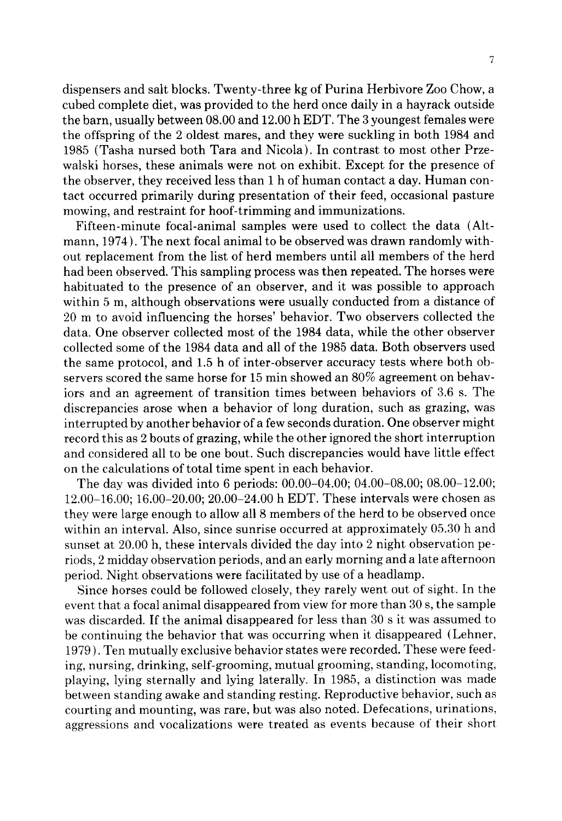dispensers and salt blocks. Twenty-three kg of Purina Herbivore Zoo Chow, a cubed complete diet, was provided to the herd once daily in a hayrack outside the barn, usually between 08.00 and 12.00 h EDT. The 3 youngest females were the offspring of the 2 oldest mares, and they were suckling in both 1984 and 1985 (Tasha nursed both Tara and Nicola). In contrast to most other Przewalski horses, these animals were not on exhibit. Except for the presence of the observer, they received less than 1 h of human contact a day. Human contact occurred primarily during presentation of their feed, occasional pasture mowing, and restraint for hoof-trimming and immunizations.

Fifteen-minute focal-animal samples were used to collect the data (Altmann, 1974). The next focal animal to be observed was drawn randomly without replacement from the list of herd members until all members of the herd had been observed. This sampling process was then repeated. The horses were habituated to the presence of an observer, and it was possible to approach within 5 m, although observations were usually conducted from a distance of 20 m to avoid influencing the horses' behavior. Two observers collected the data. One observer collected most of the 1984 data, while the other observer collected some of the 1984 data and all of the 1985 data. Both observers used the same protocol, and 1.5 h of inter-observer accuracy tests where both observers scored the same horse for 15 min showed an 80% agreement on behaviors and an agreement of transition times between behaviors of 3.6 s. The discrepancies arose when a behavior of long duration, such as grazing, was interrupted by another behavior of a few seconds duration. One observer might record this as 2 bouts of grazing, while the other ignored the short interruption and considered all to be one bout. Such discrepancies would have little effect on the calculations of total time spent in each behavior.

The day was divided into 6 periods: 00.00-04.00; 04.00-08.00; 08.00-12.00; 12.00-16.00; 16.00-20.00; 20.00-24.00 h EDT. These intervals were chosen as they were large enough to allow all 8 members of the herd to be observed once within an interval. Also, since sunrise occurred at approximately 05.30 h and sunset at 20.00 h, these intervals divided the day into 2 night observation periods, 2 midday observation periods, and an early morning and a late afternoon period. Night observations were facilitated by use of a headlamp.

Since horses could be followed closely, they rarely went out of sight. In the event that a focal animal disappeared from view for more than 30 s, the sample was discarded. If the animal disappeared for less than 30 s it was assumed to be continuing the behavior that was occurring when it disappeared (Lehner, 1979). Ten mutually exclusive behavior states were recorded. These were feeding, nursing, drinking, self-grooming, mutual grooming, standing, locomoting, playing, lying sternally and lying laterally. In 1985, a distinction was made between standing awake and standing resting. Reproductive behavior, such as courting and mounting, was rare, but was also noted. Defecations, urinations, aggressions and vocalizations were treated as events because of their short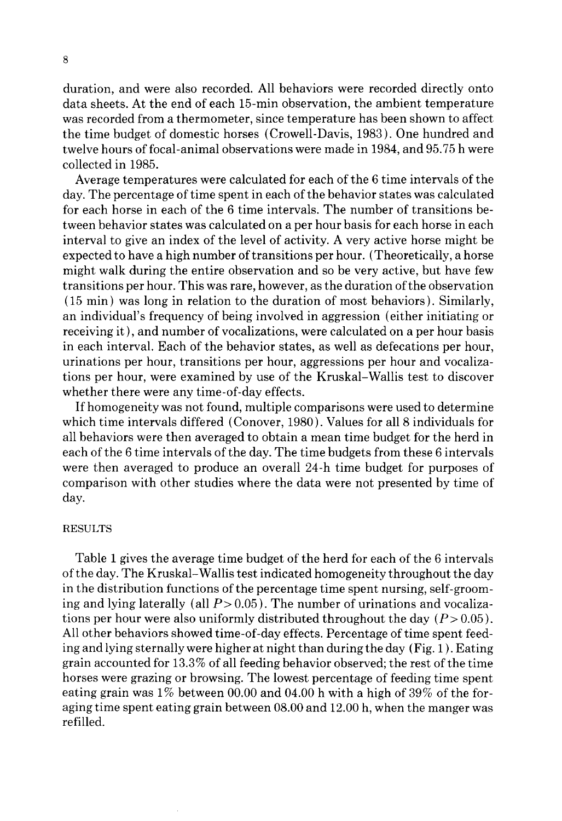duration, and were also recorded. All behaviors were recorded directly onto data sheets. At the end of each 15-min observation, the ambient temperature was recorded from a thermometer, since temperature has been shown to affect the time budget of domestic horses (Crowell-Davis, 1983). One hundred and twelve hours of focal-animal observations were made in 1984, and 95.75 h were collected in 1985.

Average temperatures were calculated for each of the 6 time intervals of the day. The percentage of time spent in each of the behavior states was calculated for each horse in each of the 6 time intervals. The number of transitions between behavior states was calculated on a per hour basis for each horse in each interval to give an index of the level of activity. A very active horse might be expected to have a high number of transitions per hour. (Theoretically, a horse might walk during the entire observation and so be very active, but have few transitions per hour. This was rare, however, as the duration of the observation (15 min) was long in relation to the duration of most behaviors). Similarly, an individual's frequency of being involved in aggression (either initiating or receiving it), and number of vocalizations, were calculated on a per hour basis in each interval. Each of the behavior states, as well as defecations per hour, urinations per hour, transitions per hour, aggressions per hour and vocalizations per hour, were examined by use of the Kruskal-Wallis test to discover whether there were any time-of-day effects.

If homogeneity was not found, multiple comparisons were used to determine which time intervals differed (Conover, 1980). Values for all 8 individuals for all behaviors were then averaged to obtain a mean time budget for the herd in each of the 6 time intervals of the day. The time budgets from these 6 intervals were then averaged to produce an overall 24-h time budget for purposes of comparison with other studies where the data were not presented by time of day.

## RESULTS

Table 1 gives the average time budget of the herd for each of the 6 intervals of the day. The Kruskal-Wallis test indicated homogeneity throughout the day in the distribution functions of the percentage time spent nursing, self-grooming and lying laterally (all  $P > 0.05$ ). The number of urinations and vocalizations per hour were also uniformly distributed throughout the day  $(P> 0.05)$ . All other behaviors showed time-of-day effects. Percentage of time spent feeding and lying sternally were higher at night than during the day (Fig. 1 ). Eating grain accounted for 13.3% of all feeding behavior observed; the rest of the time horses were grazing or browsing. The lowest percentage of feeding time spent eating grain was  $1\%$  between 00.00 and 04.00 h with a high of 39% of the foraging time spent eating grain between 08.00 and 12.00 h, when the manger was refilled.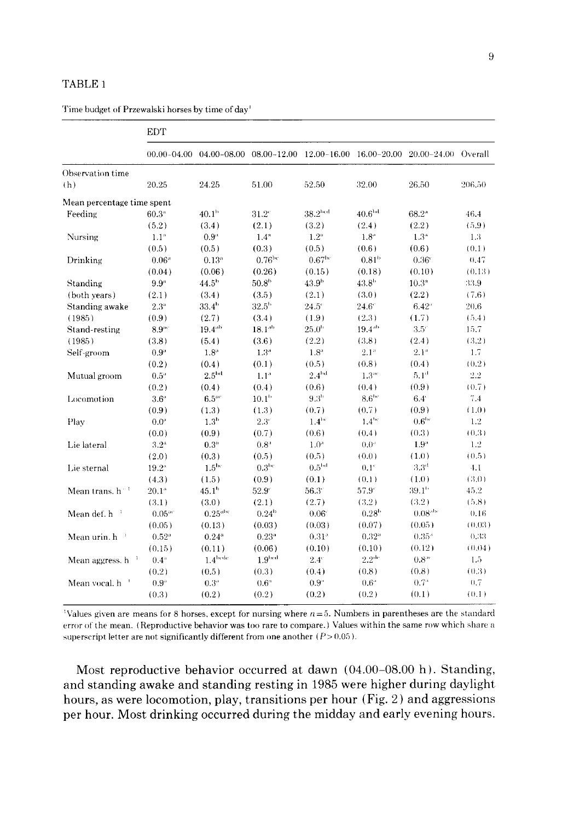# TABLE 1

Time budget of Przewalski horses by time of day<sup>1</sup>

|                                 | <b>EDT</b>           |                             |                      |                                                         |                    |                   |        |  |  |  |  |
|---------------------------------|----------------------|-----------------------------|----------------------|---------------------------------------------------------|--------------------|-------------------|--------|--|--|--|--|
|                                 |                      | $00.00 - 04.00$ 04.00-08.00 |                      | 08.00-12.00 12.00-16.00 16.00-20.00 20.00-24.00 Overall |                    |                   |        |  |  |  |  |
| Observation time                |                      |                             |                      |                                                         |                    |                   |        |  |  |  |  |
| (h)                             | 20.25                | 24.25                       | 51.00                | 52.50                                                   | 32.00              | 26.50             | 206,50 |  |  |  |  |
| Mean percentage time spent      |                      |                             |                      |                                                         |                    |                   |        |  |  |  |  |
| Feeding                         | 60.3 <sup>n</sup>    | 40.1 <sup>b</sup>           | $31.2^{\circ}$       | 38.2 <sup>bcd</sup>                                     | $40.6^{\rm bd}$    | $68.2^{\circ}$    | 46.4   |  |  |  |  |
|                                 | (5.2)                | (3.4)                       | (2.1)                | (3.2)                                                   | (2.4)              | (2.2)             | (5.9)  |  |  |  |  |
| Nursing                         | 1.1 <sup>n</sup>     | 0.9 <sup>a</sup>            | 1.4 <sup>a</sup>     | $1.2^{\mathrm{a}}$                                      | $1.8^{\circ}$      | $1.3^{\circ}$     | 1.3    |  |  |  |  |
|                                 | (0.5)                | (0.5)                       | (0.3)                | (0.5)                                                   | (0.6)              | (0.6)             | (0.1)  |  |  |  |  |
| Drinking                        | $0.06^{\circ}$       | $0.13^a$                    | $0.76$ <sup>bc</sup> | $0.67$ bc                                               | 0.81 <sup>b</sup>  | $0.36^{\circ}$    | 0.47   |  |  |  |  |
|                                 | (0.04)               | (0.06)                      | (0.26)               | (0.15)                                                  | (0.18)             | (0.10)            | (0.13) |  |  |  |  |
| Standing                        | 9.9 <sup>n</sup>     | 44.5 <sup>h</sup>           | 50.8 <sup>b</sup>    | 43.9 <sup>b</sup>                                       | 43.8 <sup>h</sup>  | 10.3 <sup>n</sup> | 33.9   |  |  |  |  |
| (both years)                    | (2.1)                | (3.4)                       | (3.5)                | (2.1)                                                   | (3.0)              | (2.2)             | (7.6)  |  |  |  |  |
| Standing awake                  | $2.3^{\circ}$        | $33.4^{h}$                  | $32.5^{\rm h}$       | $24.5^{\circ}$                                          | $24.6^{\circ}$     | $6.42^{\circ}$    | 20.6   |  |  |  |  |
| (1985)                          | (0.9)                | (2.7)                       | (3.4)                | (1.9)                                                   | (2.3)              | (1.7)             | (5.4)  |  |  |  |  |
| Stand-resting                   | $8.9 -$              | $19.4^{ab}$                 | $18.1^{ub}$          | 25.0 <sup>b</sup>                                       | $19.4^{\rm ab}$    | $3.5^\circ$       | 15.7   |  |  |  |  |
| (1985)                          | (3.8)                | (5.4)                       | (3.6)                | (2.2)                                                   | (3.8)              | (2.4)             | (3.2)  |  |  |  |  |
| Self-groom                      | $0.9$ "              | $1.8^{\circ}$               | 1.3 <sup>a</sup>     | $1.8^{\circ}$                                           | $2.1^{\circ}$      | $2.1^{\circ}$     | 1.7    |  |  |  |  |
|                                 | (0.2)                | (0.4)                       | (0.1)                | (0.5)                                                   | (0.8)              | (0.4)             | (0.2)  |  |  |  |  |
| Mutual groom                    | $0.5^{\circ}$        | 2.5 <sup>bd</sup>           | 1.1 <sup>a</sup>     | 2.4 <sup>hd</sup>                                       | $1.3^{\circ\circ}$ | 5.1 <sup>d</sup>  | 2.2    |  |  |  |  |
|                                 | (0.2)                | (0.4)                       | (0.4)                | (0.6)                                                   | (0.4)              | (0.9)             | (0.7)  |  |  |  |  |
| Locomotion                      | $3.6^{\circ}$        | 6.5 <sup>ac</sup>           | 10.1 <sup>b</sup>    | 9.3 <sup>h</sup>                                        | 8.6 <sup>bc</sup>  | $6.4^{\circ}$     | 7.4    |  |  |  |  |
|                                 | (0.9)                | (1.3)                       | (1.3)                | (0.7)                                                   | (0.7)              | (0.9)             | (1.0)  |  |  |  |  |
| Play                            | $0.0^{\circ}$        | 1.3 <sup>b</sup>            | $2.3^{\circ}$        | 1.4 <sup>bx</sup>                                       | $1.4^{hc}$         | 0.6 <sup>bc</sup> | 1.2    |  |  |  |  |
|                                 | (0.0)                | (0.9)                       | (0.7)                | (0.6)                                                   | (0.4)              | (0.3)             | (0.3)  |  |  |  |  |
| Lie lateral                     | 3.2 <sup>a</sup>     | $0.3^{\circ}$               | $0.8^{\circ}$        | $1.0^{4}$                                               | $0.0^{\circ}$      | 1.9 <sup>°</sup>  | 1.2    |  |  |  |  |
|                                 | (2.0)                | (0.3)                       | (0.5)                | (0.5)                                                   | (0.0)              | (1.0)             | (0.5)  |  |  |  |  |
| Lie sternal                     | $19.2^{\circ}$       | 1.5 <sup>bc</sup>           | 0.3 <sup>he</sup>    | 0.5 <sup>bd</sup>                                       | $0.1^{\circ}$      | 3.3 <sup>d</sup>  | 4.1    |  |  |  |  |
|                                 | (4.3)                | (1.5)                       | (0.9)                | (0.1)                                                   | (0.1)              | (1.0)             | (3.0)  |  |  |  |  |
| Mean trans. $h^{-1}$            | $20.1^{\circ}$       | 45.1 <sup>b</sup>           | $52.9^{\circ}$       | $56.3^\circ$                                            | 57.91              | 39.1 <sup>h</sup> | 45.2   |  |  |  |  |
|                                 | (3.1)                | (3.0)                       | (2.1)                | (2.7)                                                   | (3.2)              | (3.2)             | (5.8)  |  |  |  |  |
| Mean def. h <sup>1</sup>        | $0.05$ <sup>oc</sup> | $0.25$ <sup>abc</sup>       | 0.24 <sup>b</sup>    | $0.06^{\circ}$                                          | 0.28 <sup>h</sup>  | $0.08^{obs}$      | 0.16   |  |  |  |  |
|                                 | (0.05)               | (0.13)                      | (0.03)               | (0.03)                                                  | (0.07)             | (0.05)            | (0.03) |  |  |  |  |
| Mean urin, $h^{-1}$             | 0.52°                | $0.24^{\circ}$              | 0.23"                | 0.31 <sup>a</sup>                                       | 0.32"              | $0.35^{\circ}$    | 0.33   |  |  |  |  |
|                                 | (0.15)               | (0.11)                      | (0.06)               | (0.10)                                                  | (0.10)             | (0.12)            | (0.04) |  |  |  |  |
| Mean aggress. h                 | $0.4^{\circ}$        | $1.4^{\rm hede}$            | 1.9 <sup>bcd</sup>   | $2.4^\circ$                                             | 2.2 <sup>dr</sup>  | $0.8^{\circ}$     | 1.5    |  |  |  |  |
|                                 | (0.2)                | (0.5)                       | (0.3)                | (0.4)                                                   | (0.8)              | (0.8)             | (0.3)  |  |  |  |  |
| Mean vocal, h<br>$\overline{1}$ | $0.9^{\circ}$        | 0.3"                        | $0.6^{\circ}$        | $0.9^{\circ}$                                           | $0.6^{\circ}$      | $0.7^{\circ}$     | 0.7    |  |  |  |  |
|                                 | (0.3)                | (0.2)                       | (0.2)                | (0.2)                                                   | (0.2)              | (0.1)             | (0.1)  |  |  |  |  |

Walues given are means for 8 horses, except for nursing where  $n=5$ . Numbers in parentheses are the standard error of the mean. (Reproductive behavior was too rare to compare.) Values within the same row whicb share a superscript letter are not significantly different from one another  $(P > 0.05)$ .

**Most reproductive behavior occurred at dawn (04.00-08.00 h). Standing, and standing awake and standing resting in 1985 were higher during daylight hours, as were locomotion, play, transitions per hour (Fig. 2 ) and aggressions per hour. Most drinking occurred during the midday and early evening hours.**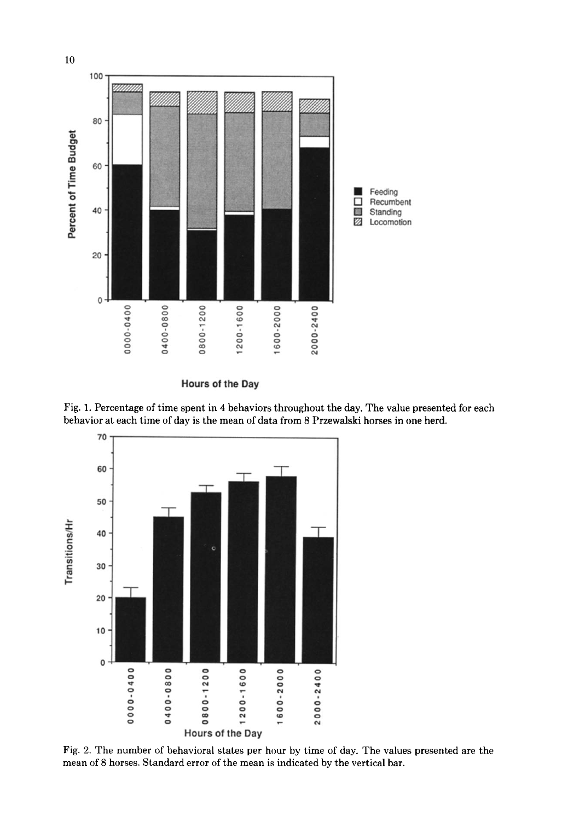

**Hours of the Day** 





Fig, 2. The number of behavioral states per hour by time of day. The values presented are the mean of 8 horses. Standard error of the mean is indicated by the vertical bar.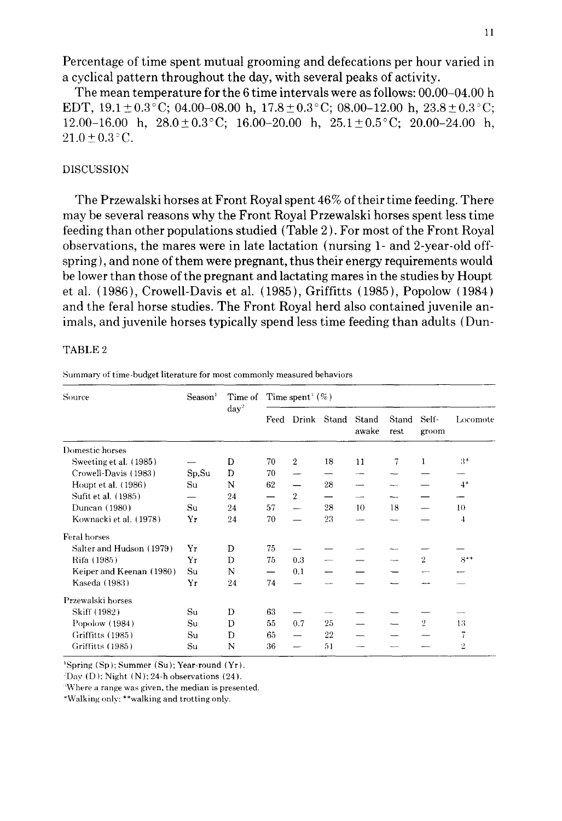**Percentage of time spent mutual grooming and defecations per hour varied in a cyclical pattern throughout the day, with several peaks of activity.** 

**The mean temperature for the 6 time intervals were as follows: 00.00-04.00 h EDT,**  $19.1 \pm 0.3^{\circ}$ **C; 04.00-08.00 h,**  $17.8 \pm 0.3^{\circ}$ **C; 08.00-12.00 h,**  $23.8 \pm 0.3^{\circ}$ **C;** 12.00-16.00 h,  $28.0 \pm 0.3^{\circ}$ C; 16.00-20.00 h,  $25.1 \pm 0.5^{\circ}$ C; 20.00-24.00 h,  $21.0 \pm 0.3$  °C.

## DISCUSSION

**The Przewalski horses at Front Royal spent 46% of their time feeding. There may be several reasons why the Front Royal Przewalski horses spent less time feeding than other populations studied (Table 2 ). For most of the Front Royal observations, the mares were in late lactation (nursing 1- and 2-year-old offspring), and none of them were pregnant, thus their energy requirements would be lower than those of the pregnant and lactating mares in the studies by Houpt et al. (1986), Crowell-Davis et al. (1985), Griffitts (1985), Popolow {1984) and the feral horse studies. The Front Royal herd also contained juvenile animals, and juvenile horses typically spend less time feeding than adults (Dun-**

#### TABLE 2

**Summary of time-budget literature for most commonly measured behaviors** 

| Source                   | Season <sup>1</sup> | Time of<br>$day^2$ | Time spent $(\%)$ |                          |         |                |               |                |          |
|--------------------------|---------------------|--------------------|-------------------|--------------------------|---------|----------------|---------------|----------------|----------|
|                          |                     |                    |                   | Feed Drink               | Stand   | Stand<br>awake | Stand<br>rest | Self-<br>groom | Locomote |
| Domestic horses          |                     |                    |                   |                          |         |                |               |                |          |
| Sweeting et al. (1985)   |                     | D                  | 70                | $\overline{2}$           | 18      | 11             | 7             | 1              | $3*$     |
| Crowell-Davis (1983)     | Sp, Su              | D                  | 70                |                          |         |                |               |                |          |
| Houpt et al. (1986)      | Su                  | N                  | 62                |                          | 28      |                |               |                | $4*$     |
| Sufit et al. (1985)      |                     | 24                 | —                 | $\overline{2}$           |         |                |               |                |          |
| Duncan (1980)            | Su                  | 24                 | 57                | $\overline{\phantom{a}}$ | 28      | 10             | 18            |                | 10       |
| Kownacki et al. (1978)   | Yr                  | 24                 | 70                |                          | 23      |                | --            |                | 4        |
| Feral horses             |                     |                    |                   |                          |         |                |               |                |          |
| Salter and Hudson (1979) | Yr                  | D                  | 75                |                          |         |                |               |                |          |
| Rifa (1985)              | Yr                  | D                  | 75                | 0.3                      |         |                |               | $\overline{2}$ | $8**$    |
| Keiper and Keenan (1980) | Su                  | N                  |                   | 0.1                      |         |                |               |                |          |
| Kaseda (1983)            | Yr                  | 24                 | 74                |                          |         |                |               |                |          |
| Przewalski horses        |                     |                    |                   |                          |         |                |               |                |          |
| Skiff (1982)             | Su                  | D                  | 63                |                          |         |                |               |                |          |
| Popolow (1984)           | Su                  | D                  | 55                | 0.7                      | 25      |                |               | $\overline{2}$ | 13       |
| Griffitts (1985)         | Su                  | Đ                  | 65                |                          | $^{22}$ |                |               |                | 7        |
| Griffitts (1985)         | Su                  | N                  | 36                |                          | 51      |                |               |                | 2        |

**~Spring (Sp); Summer (Su); Year-round** (Yr).

 $2D$ ay (D); Night (N); 24-h observations (24).

~Where a **range was given, the median is presented.** 

\*Walking only: \*\*walking **and trotting only.**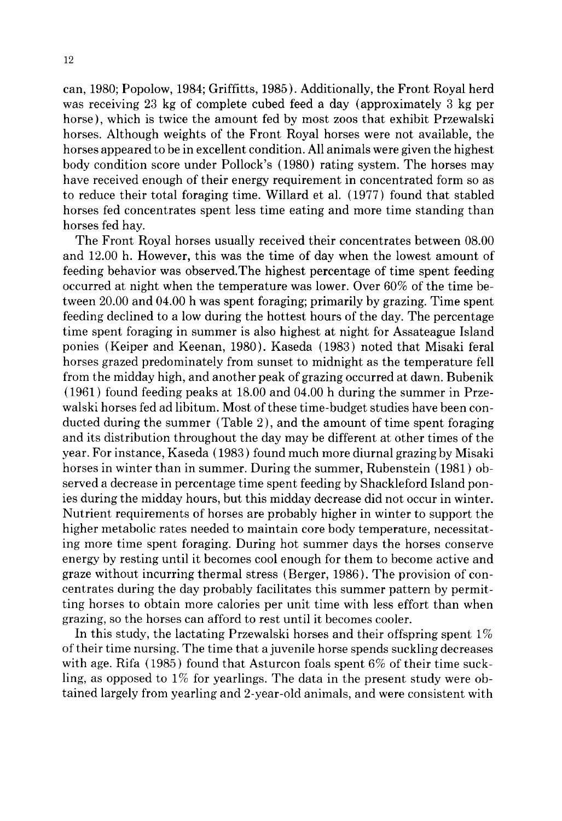can, 1980; Popolow, 1984; Griffitts, 1985). Additionally, the Front Royal herd was receiving 23 kg of complete cubed feed a day (approximately 3 kg per horse), which is twice the amount fed by most zoos that exhibit Przewalski horses. Although weights of the Front Royal horses were not available, the horses appeared to be in excellent condition. All animals were given the highest body condition score under Pollock's (1980) rating system. The horses may have received enough of their energy requirement in concentrated form so as to reduce their total foraging time. Willard et al. (1977) found that stabled horses fed concentrates spent less time eating and more time standing than horses fed hay.

The Front Royal horses usually received their concentrates between 08.00 and 12.00 h. However, this was the time of day when the lowest amount of feeding behavior was observed.The highest percentage of time spent feeding occurred at night when the temperature was lower. Over 60% of the time between 20.00 and 04.00 h was spent foraging; primarily by grazing. Time spent feeding declined to a low during the hottest hours of the day. The percentage time spent foraging in summer is also highest at night for Assateague Island ponies (Keiper and Keenan, 1980). Kaseda (1983) noted that Misaki feral horses grazed predominately from sunset to midnight as the temperature fell from the midday high, and another peak of grazing occurred at dawn. Bubenik (1961) found feeding peaks at 18.00 and 04.00 h during the summer in Przewalski horses fed ad libitum. Most of these time-budget studies have been conducted during the summer (Table 2), and the amount of time spent foraging and its distribution throughout the day may be different at other times of the year. For instance, Kaseda ( 1983 ) found much more diurnal grazing by Misaki horses in winter than in summer. During the summer, Rubenstein (1981) observed a decrease in percentage time spent feeding by Shackleford Island ponies during the midday hours, but this midday decrease did not occur in winter. Nutrient requirements of horses are probably higher in winter to support the higher metabolic rates needed to maintain core body temperature, necessitating more time spent foraging. During hot summer days the horses conserve energy by resting until it becomes cool enough for them to become active and graze without incurring thermal stress (Berger, 1986). The provision of concentrates during the day probably facilitates this summer pattern by permitting horses to obtain more calories per unit time with less effort than when grazing, so the horses can afford to rest until it becomes cooler.

In this study, the lactating Przewalski horses and their offspring spent  $1\%$ of their time nursing. The time that a juvenile horse spends suckling decreases with age. Rifa (1985) found that Asturcon foals spent 6% of their time suckling, as opposed to 1% for yearlings. The data in the present study were obtained largely from yearling and 2-year-old animals, and were consistent with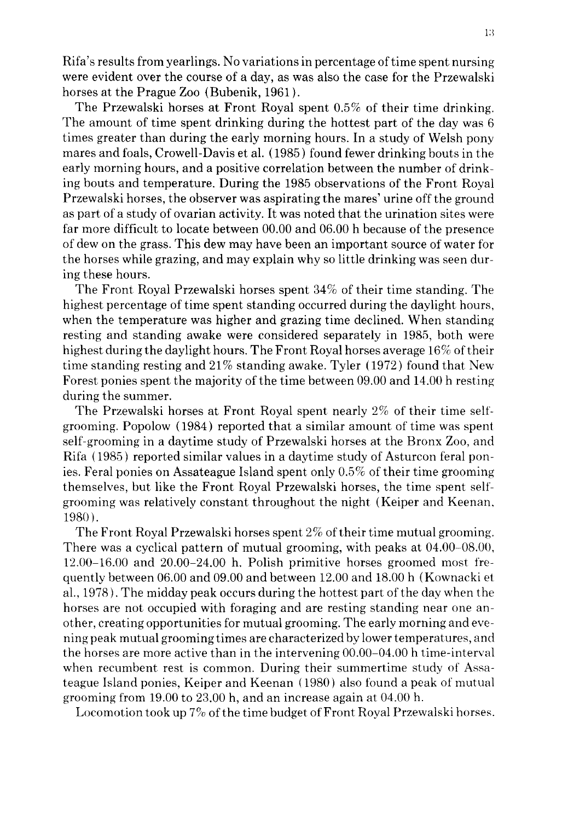Rifa's results from yearlings. No variations in percentage of time spent nursing were evident over the course of a day, as was also the case for the Przewalski horses at the Prague Zoo (Bubenik, 1961 ).

The Przewalski horses at Front Royal spent 0.5% of their time drinking. The amount of time spent drinking during the hottest part of the day was 6 times greater than during the early morning hours. In a study of Welsh pony mares and foals, Crowell-Davis et al. (1985) found fewer drinking bouts in the early morning hours, and a positive correlation between the number of drinking bouts and temperature. During the 1985 observations of the Front Royal Przewalski horses, the observer was aspirating the mares' urine off the ground as part of a study of ovarian activity. It was noted that the urination sites were far more difficult to locate between 00.00 and 06.00 h because of the presence of dew on the grass. This dew may have been an important source of water for the horses while grazing, and may explain why so little drinking was seen during these hours.

The Front Royal Przewalski horses spent 34% of their time standing. The highest percentage of time spent standing occurred during the daylight hours, when the temperature was higher and grazing time declined. When standing resting and standing awake were considered separately in 1985, both were highest during the daylight hours. The Front Royal horses average 16% of their time standing resting and 21% standing awake. Tyler (1972) found that New Forest ponies spent the majority of the time between 09.00 and 14.00 h resting during the summer.

The Przewalski horses at Front Royal spent nearly 2% of their time selfgrooming. Popolow { 1984) reported that a similar amount of time was spent self-grooming in a daytime study of Przewalski horses at the Bronx Zoo, and Rifa (1985) reported similar values in a daytime study of Asturcon feral ponies. Feral ponies on Assateague Island spent only 0.5% of their time grooming themselves, but like the Front Royal Przewalski horses, the time spent self' grooming was relatively constant throughout the night (Keiper and Keenan. 1980).

The Front Royal Przewalski horses spent 2% of their time mutual grooming. There was a cyclical pattern of mutual grooming, with peaks at 04.00-08.00, 12.00-16.00 and 20.00-24.00 h. Polish primitive horses groomed most frequently between 06.00 and 09.00 and between 12.00 and 18.00 h (Kownacki et al., 1978 ). The midday peak occurs during the hottest part of the day when the horses are not occupied with foraging and are resting standing near one another, creating opportunities for mutual grooming. The early morning and evening peak mutual grooming times are characterized by lower temperatures, and the horses are more active than in the intervening 00.00-04.00 h time-interval when recumbent rest is common. During their summertime study of Assateague Island ponies, Keiper and Keenan (1980) also found a peak of mutual grooming from 19.00 to 23.00 h, and an increase again at 04.00 h.

Locomotion took up 7% of the time budget of Front Royal Przewalski horses.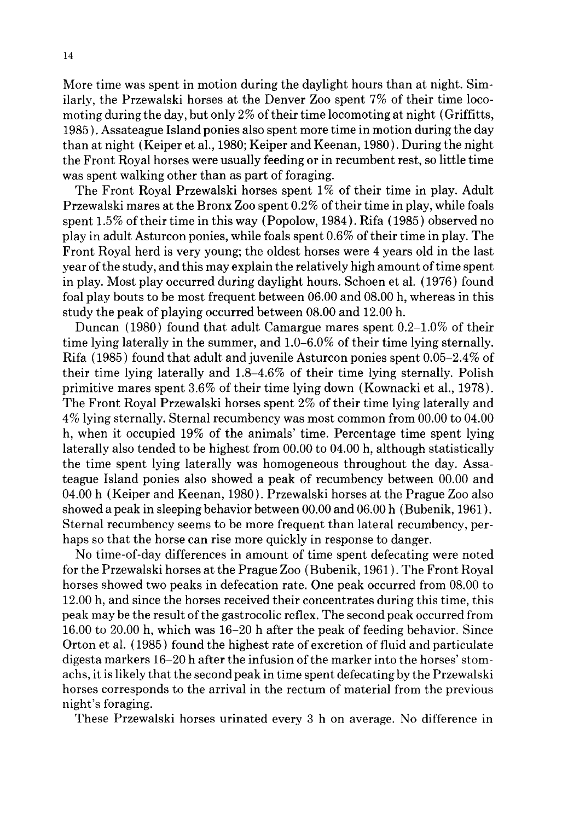More time was spent in motion during the daylight hours than at night. Similarly, the Przewalski horses at the Denver Zoo spent 7% of their time locomoting during the day, but only 2% of their time locomoting at night (Griffitts, 1985 ). Assateague Island ponies also spent more time in motion during the day than at night (Keiper et al., 1980; Keiper and Keenan, 1980). During the night the Front Royal horses were usually feeding or in recumbent rest, so little time was spent walking other than as part of foraging.

The Front Royal Przewalski horses spent 1% of their time in play. Adult Przewalski mares at the Bronx Zoo spent 0.2% of their time in play, while foals spent 1.5% of their time in this way (Popolow, 1984). Rifa (1985) observed no play in adult Asturcon ponies, while foals spent 0.6% of their time in play. The Front Royal herd is very young; the oldest horses were 4 years old in the last year of the study, and this may explain the relatively high amount of time spent in play. Most play occurred during daylight hours. Schoen et al. (1976) found foal play bouts to be most frequent between 06.00 and 08.00 h, whereas in this study the peak of playing occurred between 08.00 and 12.00 h.

Duncan (1980) found that adult Camargue mares spent 0.2-1.0% of their time lying laterally in the summer, and 1.0-6.0% of their time lying sternally. Rifa (1985) found that adult and juvenile Asturcon ponies spent 0.05-2.4% of their time lying laterally and 1.8-4.6% of their time lying sternally. Polish primitive mares spent 3.6% of their time lying down (Kownacki et al., 1978). The Front Royal Przewalski horses spent 2% of their time lying laterally and 4% lying sternally. Sternal recumbency was most common from 00.00 to 04.00 h, when it occupied 19% of the animals' time. Percentage time spent lying laterally also tended to be highest from 00.00 to 04.00 h, although statistically the time spent lying laterally was homogeneous throughout the day. Assateague Island ponies also showed a peak of recumbency between 00.00 and 04.00 h (Keiper and Keenan, 1980). Przewalski horses at the Prague Zoo also showed a peak in sleeping behavior between 00.00 and 06.00 h (Bubenik, 1961 ). Sternal recumbency seems to be more frequent than lateral recumbency, perhaps so that the horse can rise more quickly in response to danger.

No time-of-day differences in amount of time spent defecating were noted for the Przewalski horses at the Prague Zoo (Bubenik, 1961 ). The Front Royal horses showed two peaks in defecation rate. One peak occurred from 08.00 to 12.00 h, and since the horses received their concentrates during this time, this peak may be the result of the gastrocolic reflex. The second peak occurred from 16.00 to 20.00 h, which was 16-20 h after the peak of feeding behavior. Since Orton et al. (1985) found the highest rate of excretion of fluid and particulate digesta markers 16-20 h after the infusion of the marker into the horses' stomachs, it is likely that the second peak in time spent defecating by the Przewalski horses corresponds to the arrival in the rectum of material from the previous night's foraging.

These Przewalski horses urinated every 3 h on average. No difference in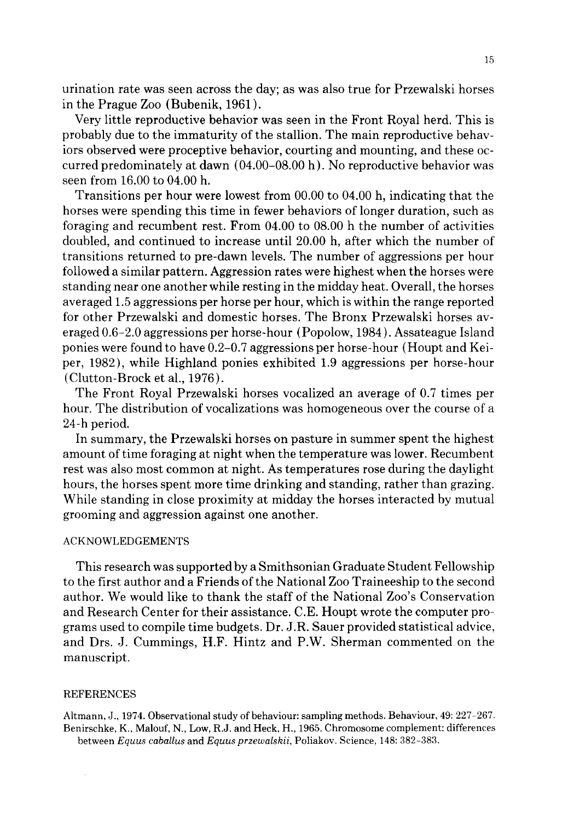urination rate was seen across the day; as was also true for Przewalski horses in the Prague Zoo (Bubenik, 1961 ).

Very little reproductive behavior was seen in the Front Royal herd. This is probably due to the immaturity of the stallion. The main reproductive behaviors observed were proceptive behavior, courting and mounting, and these occurred predominately at dawn (04.00-08.00 h). No reproductive behavior was seen from 16.00 to 04.00 h.

Transitions per hour were lowest from 00.00 to 04.00 h, indicating that the horses were spending this time in fewer behaviors of longer duration, such as foraging and recumbent rest. From 04.00 to 08.00 h the number of activities doubled, and continued to increase until 20.00 h, after which the number of transitions returned to pre-dawn levels. The number of aggressions per hour followed a similar pattern. Aggression rates were highest when the horses were standing near one another while resting in the midday heat. Overall, the horses averaged 1.5 aggressions per horse per hour, which is within the range reported for other Przewalski and domestic horses. The Bronx Przewalski horses averaged 0.6-2.0 aggressions per horse-hour (Popolow, 1984). Assateague Island ponies were found to have 0.2-0.7 aggressions per horse-hour (Houpt and Keiper, 1982), while Highland ponies exhibited 1.9 aggressions per horse-hour (Clutton-Brock et al., 1976).

The Front Royal Przewalski horses vocalized an average of 0.7 times per hour. The distribution of vocalizations was homogeneous over the course of a 24-h period.

In summary, the Przewalski horses on pasture in summer spent the highest amount of time foraging at night when the temperature was lower. Recumbent rest was also most common at night. As temperatures rose during the daylight hours, the horses spent more time drinking and standing, rather than grazing. While standing in close proximity at midday the horses interacted by mutual grooming and aggression against one another.

## ACKNOWLEDGEMENTS

This research was supported by a Smithsonian Graduate Student Fellowship to the first author and a Friends of the National Zoo Traineeship to the second author. We would like to thank the staff of the National Zoo's Conservation and Research Center for their assistance. C.E. Houpt wrote the computer programs used to compile time budgets. Dr. J.R. Sauer provided statistical advice, and Drs. J. Cummings, H.F. Hintz and P.W. Sherman commented on the manuscript.

## **REFERENCES**

Altmann, J., 1974. Observational study of behaviour: sampling methods. Behaviour, 49: 227-267. Benirschke, K., Malouf, N., Low, R.J. and Heck, H., 1965. Chromosome complement: differences between *Equus caballus* and *Equus przewalskii,* Poliakov. Science, 148: 382-383.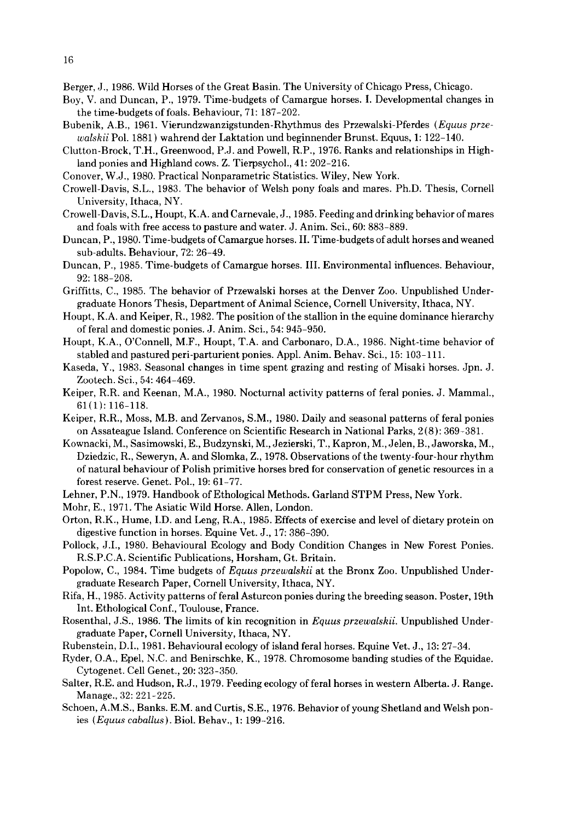- Berger, J., 1986. Wild Horses of the Great Basin. The University of Chicago Press, Chicago.
- Boy, V. and Duncan, P., 1979. Time-budgets of Camargue horses. I. Developmental changes in the time-budgets of foals. Behaviour, 71: 187-202.
- Bubenik, A.B., 1961. Vierundzwanzigstunden-Rhythmus des Przewalski-Pferdes *(Equus przewalskii* Pol. 1881 ) wahrend der Laktation und beginnender Brunst. Equus, 1: 122-140.
- Clutton-Brock, T.H., Greenwood, P.J. and Powell, R.P., 1976. Ranks and relationships in Highland ponies and Highland cows. Z. Tierpsychol., 41: 202-216.
- Conover, W.J., 1980. Practical Nonparametric Statistics. Wiley, New York.
- Crowell-Davis, S.L., 1983. The behavior of Welsh pony foals and mares. Ph.D. Thesis, Cornell University, Ithaca, NY.
- Crowell-Davis, S.L., Houpt, K.A. and Carnevale, J., 1985. Feeding and drinking behavior of mares and foals with free access to pasture and water. J. Anim. Sci., 60: 883-889.
- Duncan, P., 1980. Time-budgets of Camargue horses. II. Time-budgets of adult horses and weaned sub-adults. Behaviour, 72: 26-49.
- Duncan, P., 1985. Time-budgets of Camargue horses. III. Environmental influences. Behaviour, 92: 188-208.
- Griffitts, C., 1985. The behavior of Przewalski horses at the Denver Zoo. Unpublished Undergraduate Honors Thesis, Department of Animal Science, Cornell University, Ithaca, NY.
- Houpt, K.A. and Keiper, R., 1982. The position of the stallion in the equine dominance hierarchy of feral and domestic ponies. J. Anim. Sci., 54: 945-950.
- Houpt, K.A., O'Connell, M.F., Houpt, T.A. and Carbonaro, D.A., 1986. Night-time behavior of stabled and pastured peri-parturient ponies. Appl. Anim. Behav. Sci., 15: 103-111.
- Kaseda, Y., 1983. Seasonal changes in time spent grazing and resting of Misaki horses. Jpn. J. Zootech. Sci., 54: 464-469.
- Keiper, R.R. and Keenan, M.A., 1980. Nocturnal activity patterns of feral ponies. J. Mammal., 61(1): 116-118.
- Keiper, R.R., Moss, M.B. and Zervanos, S.M., 1980. Daily and seasonal patterns of feral ponies on Assateague Island. Conference on Scientific Research in National Parks, 2 (8): 369-381.
- Kownacki, M., Sasimowski, E., Budzynski, M., Jezierski, T., Kapron, M., Jelen, B., Jaworska, M., Dziedzic, R., Seweryn, A. and Slomka, Z., 1978. Observations of the twenty-four-hour rhythm of natural behaviour of Polish primitive horses bred for conservation of genetic resources in a forest reserve. Genet. Pol., 19: 61-77.
- Lehner, P.N., 1979. Handbook of Ethological Methods. Garland STPM Press, New York.
- Mohr, E., 1971. The Asiatic Wild Horse. Allen, London.
- Orton, R.K., Hume, I.D. and Leng, R.A., 1985. Effects of exercise and level of dietary protein on digestive function in horses. Equine Vet. J., 17: 386-390.
- Pollock, J.I., 1980. Behavioural Ecology and Body Condition Changes in New Forest Ponies. R.S.P.C.A. Scientific Publications, Horsham, Gt. Britain.
- Popolow, C., 1984. Time budgets of *Equus przewalskii* at the Bronx Zoo. Unpublished Undergraduate Research Paper, Cornell University, Ithaca, NY.
- Rifa, H., 1985. Activity patterns of feral Asturcon ponies during the breeding season. Poster, 19th Int. Ethological Conf., Toulouse, France.
- Rosenthal, J.S., 1986. The limits of kin recognition in *Equus przewalskii.* Unpublished Undergraduate Paper, Cornell University, Ithaca, NY.
- Rubenstein, D.I., 1981. Behavioural ecology of island feral horses. Equine Vet. J., 13: 27-34.
- Ryder, O.A., Epel, N.C. and Benirschke, K., 1978. Chromosome banding studies of the Equidae. Cytogenet. Cell Genet., 20: 323-350.
- Salter, R.E. and Hudson, R.J., 1979. Feeding ecology of feral horses in western Alberta. J. Range. Manage., 32: 221-225.
- Schoen, A.M.S., Banks. E.M. and Curtis, S.E., 1976. Behavior of young Shetland and Welsh ponies *(Equus cabaUus).* Biol. Behav., 1: 199-216.